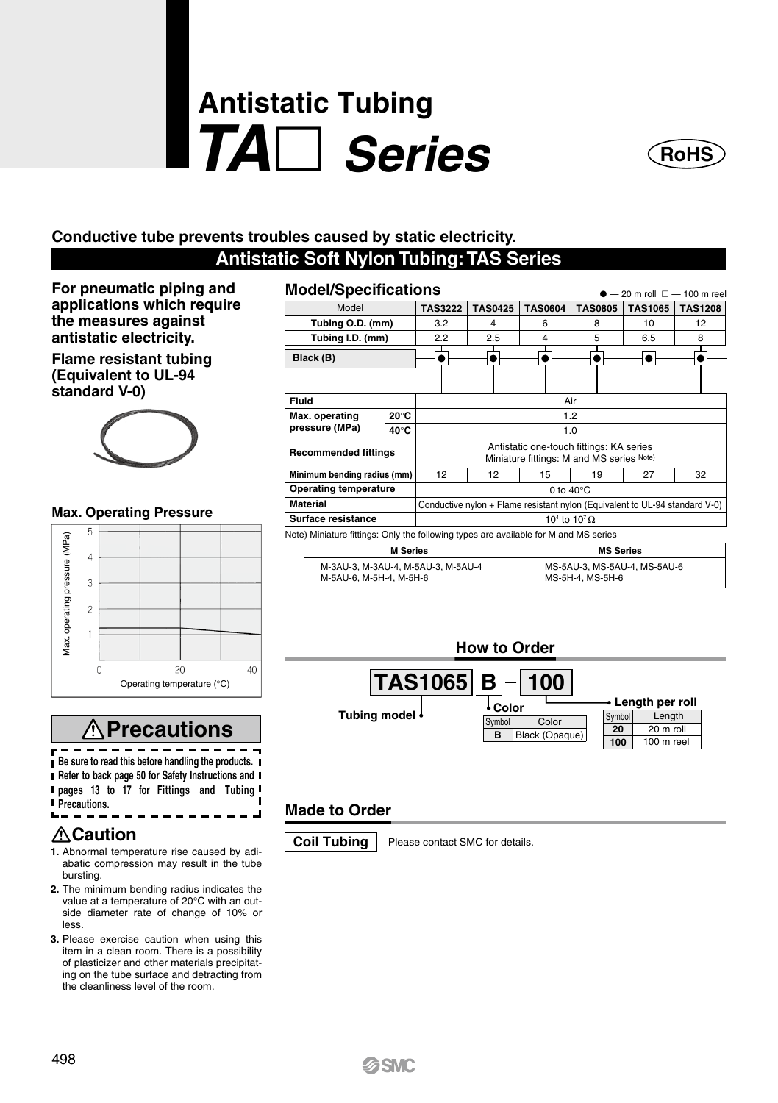# **Antistatic Tubing** *TA Series*



### **Conductive tube prevents troubles caused by static electricity.**

## **Antistatic Soft Nylon Tubing: TAS Series**

M-5AU-6, M-5H-4, M-5H-6

**For pneumatic piping and applications which require the measures against antistatic electricity.** 

**Flame resistant tubing (Equivalent to UL-94 standard V-0)**



#### **Max. Operating Pressure**



## **Precautions**

r **Be sure to read this before handling the products. Refer to back page 50 for Safety Instructions and pages 13 to 17 for Fittings and Tubing** 

**Precautions.**

## **Caution**

- **1.** Abnormal temperature rise caused by adiabatic compression may result in the tube bursting.
- **2.** The minimum bending radius indicates the value at a temperature of 20°C with an outside diameter rate of change of 10% or less.
- **3.** Please exercise caution when using this item in a clean room. There is a possibility of plasticizer and other materials precipitating on the tube surface and detracting from the cleanliness level of the room.

| <b>Model/Specifications</b><br>$-20$ m roll $\Box$ - 100 m ree |                                    |                 |                                                                                       |                              |                |                |                |                |  |  |  |
|----------------------------------------------------------------|------------------------------------|-----------------|---------------------------------------------------------------------------------------|------------------------------|----------------|----------------|----------------|----------------|--|--|--|
|                                                                | Model                              |                 | <b>TAS3222</b>                                                                        | <b>TAS0425</b>               | <b>TAS0604</b> | <b>TAS0805</b> | <b>TAS1065</b> | <b>TAS1208</b> |  |  |  |
| Tubing O.D. (mm)                                               |                                    |                 | 3.2                                                                                   | 4                            | 6              | 8              | 10             | 12             |  |  |  |
|                                                                | Tubing I.D. (mm)                   | 2.2             | 2.5<br>5<br>4                                                                         |                              | 6.5            | 8              |                |                |  |  |  |
|                                                                | Black (B)                          |                 |                                                                                       |                              |                |                |                |                |  |  |  |
|                                                                |                                    |                 |                                                                                       |                              |                |                |                |                |  |  |  |
| Fluid                                                          |                                    |                 | Air                                                                                   |                              |                |                |                |                |  |  |  |
| $20^{\circ}$ C<br>Max. operating                               |                                    |                 | 1.2                                                                                   |                              |                |                |                |                |  |  |  |
|                                                                | pressure (MPa)                     | 1.0             |                                                                                       |                              |                |                |                |                |  |  |  |
| <b>Recommended fittings</b>                                    |                                    |                 | Antistatic one-touch fittings: KA series<br>Miniature fittings: M and MS series Note) |                              |                |                |                |                |  |  |  |
| Minimum bending radius (mm)                                    |                                    |                 | 12                                                                                    | 12                           | 15             | 19             | 27             | 32             |  |  |  |
|                                                                | <b>Operating temperature</b>       |                 | 0 to $40^{\circ}$ C                                                                   |                              |                |                |                |                |  |  |  |
|                                                                | <b>Material</b>                    |                 | Conductive nylon + Flame resistant nylon (Equivalent to UL-94 standard V-0)           |                              |                |                |                |                |  |  |  |
|                                                                | Surface resistance                 |                 | 10 <sup>4</sup> to $10^7 \Omega$                                                      |                              |                |                |                |                |  |  |  |
|                                                                |                                    |                 | Note) Miniature fittings: Only the following types are available for M and MS series  |                              |                |                |                |                |  |  |  |
|                                                                |                                    | <b>M</b> Series | <b>MS Series</b>                                                                      |                              |                |                |                |                |  |  |  |
|                                                                | M-3AU-3, M-3AU-4, M-5AU-3, M-5AU-4 |                 |                                                                                       | MS-5AU-3, MS-5AU-4, MS-5AU-6 |                |                |                |                |  |  |  |



MS-5H-4, MS-5H-6

## **Made to Order**



**Coil Tubing** | Please contact SMC for details.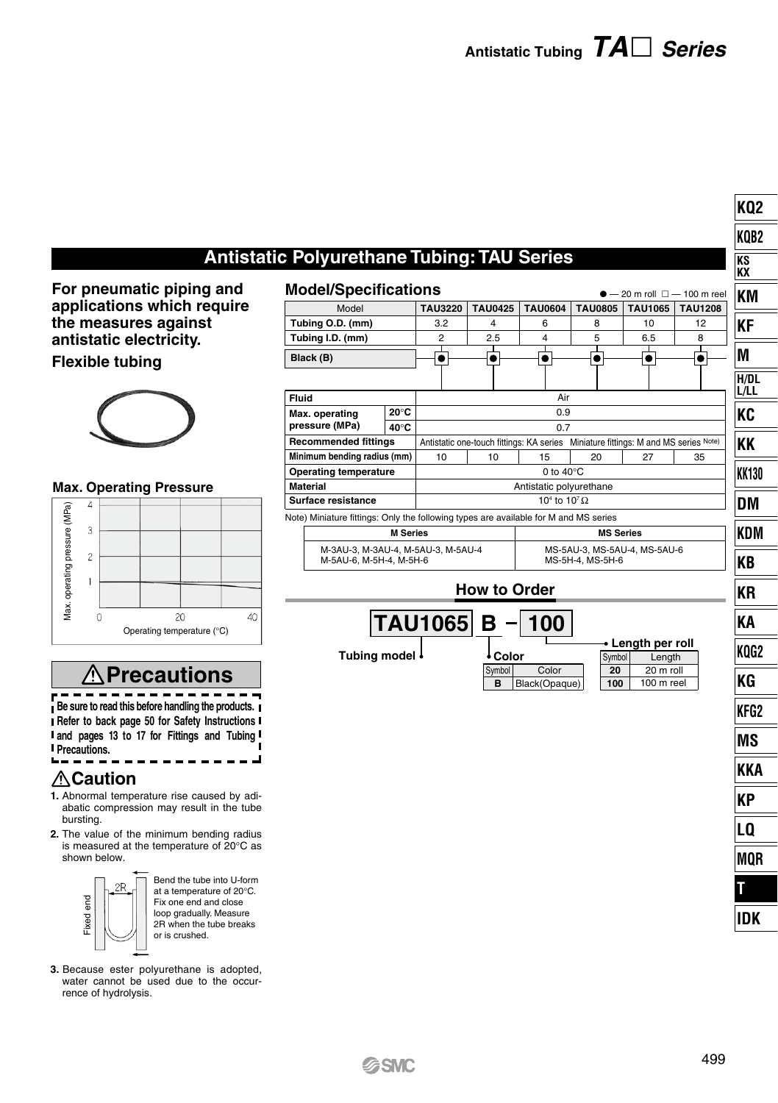**KQ2 KQB2 KS KX**

## **Antistatic Polyurethane Tubing: TAU Series**

**For pneumatic piping and Model applications which require the measures against antistatic electricity. Flexible tubing**



#### **Max. Operating Pressure**



## **Precautions**

== -------r **Be sure to read this before handling the products. Refer to back page 50 for Safety Instructions and pages 13 to 17 for Fittings and Tubing Precautions.**

#### **Caution**

- **1.** Abnormal temperature rise caused by adiabatic compression may result in the tube bursting.
- **2.** The value of the minimum bending radius is measured at the temperature of 20°C as shown below.



Bend the tube into U-form at a temperature of 20°C. Fix one end and close loop gradually. Measure 2R when the tube breaks or is crushed.

**3.** Because ester polyurethane is adopted, water cannot be used due to the occur-

| <b>Model/Specifications</b>                                                          |                                  |                     |                                                                                    |                                                  |             |                                             |     |                |    |                         |      | $-20$ m roll $\Box - 100$ m reel | ΚM         |
|--------------------------------------------------------------------------------------|----------------------------------|---------------------|------------------------------------------------------------------------------------|--------------------------------------------------|-------------|---------------------------------------------|-----|----------------|----|-------------------------|------|----------------------------------|------------|
| Model                                                                                | <b>TAU3220</b><br><b>TAU0425</b> |                     | <b>TAU0604</b>                                                                     | <b>TAU0805</b>                                   |             | TAU1065                                     |     | <b>TAU1208</b> |    |                         |      |                                  |            |
| Tubing O.D. (mm)                                                                     |                                  | 3.2<br>4            |                                                                                    | 6                                                | 8           |                                             | 10  |                |    | 12                      | KF   |                                  |            |
| Tubing I.D. (mm)                                                                     | 2<br>2.5<br>I                    |                     |                                                                                    | 4<br>Ι                                           | 5<br>L      |                                             | 6.5 |                |    | 8<br>I                  |      |                                  |            |
| Black (B)                                                                            |                                  | $\bullet$           |                                                                                    |                                                  | $\bullet$   | $\bullet$                                   |     |                |    | $\bullet $              |      | $\bullet$                        | M          |
|                                                                                      |                                  |                     |                                                                                    |                                                  |             |                                             |     |                |    |                         |      |                                  | H/DL       |
| Fluid                                                                                |                                  | Air                 |                                                                                    |                                                  |             |                                             |     |                |    |                         | L/LL |                                  |            |
| Max. operating                                                                       | 20°C                             |                     |                                                                                    |                                                  |             | 0.9                                         |     |                |    |                         |      |                                  | KC         |
| pressure (MPa)                                                                       | 40°C                             | 0.7                 |                                                                                    |                                                  |             |                                             |     |                |    |                         |      |                                  |            |
| <b>Recommended fittings</b>                                                          |                                  |                     | Antistatic one-touch fittings: KA series Miniature fittings: M and MS series Note) |                                                  |             |                                             |     |                |    |                         |      |                                  | KΚ         |
| Minimum bending radius (mm)                                                          |                                  | 10                  |                                                                                    |                                                  | 10          | 15<br>0 to $40^{\circ}$ C                   |     | 20             | 27 |                         |      | 35                               |            |
| <b>Operating temperature</b><br><b>Material</b>                                      |                                  |                     |                                                                                    |                                                  |             | Antistatic polyurethane                     |     |                |    |                         |      |                                  | KK130      |
| Surface resistance                                                                   |                                  |                     |                                                                                    |                                                  |             | 10 <sup>4</sup> to 10 <sup>7</sup> $\Omega$ |     |                |    |                         |      |                                  | DM         |
| Note) Miniature fittings: Only the following types are available for M and MS series |                                  |                     |                                                                                    |                                                  |             |                                             |     |                |    |                         |      |                                  |            |
|                                                                                      | <b>M</b> Series                  |                     | <b>MS Series</b>                                                                   |                                                  |             |                                             |     |                |    |                         |      | KDM                              |            |
| M-3AU-3, M-3AU-4, M-5AU-3, M-5AU-4<br>M-5AU-6, M-5H-4, M-5H-6                        |                                  |                     |                                                                                    | MS-5AU-3, MS-5AU-4, MS-5AU-6<br>MS-5H-4, MS-5H-6 |             |                                             |     |                |    |                         |      |                                  | KB         |
|                                                                                      |                                  | <b>How to Order</b> |                                                                                    |                                                  |             |                                             |     |                | ΚR |                         |      |                                  |            |
|                                                                                      |                                  | <b>TAU1065 B</b>    |                                                                                    |                                                  |             | 100                                         |     |                |    |                         |      |                                  | KА         |
|                                                                                      |                                  |                     |                                                                                    |                                                  |             | • Length per roll                           |     |                |    |                         |      |                                  |            |
| <b>Tubing model</b>                                                                  |                                  |                     |                                                                                    |                                                  | • Color     |                                             |     | Symbol         |    | Length                  |      |                                  | KOG2       |
|                                                                                      |                                  |                     |                                                                                    |                                                  | Symbol<br>в | Color<br>Black(Opaque)                      |     | 20<br>100      |    | 20 m roll<br>100 m reel |      |                                  | KG         |
|                                                                                      |                                  |                     |                                                                                    |                                                  |             |                                             |     |                |    |                         |      |                                  | KFG2       |
|                                                                                      |                                  |                     |                                                                                    |                                                  |             |                                             |     |                |    |                         |      |                                  | MS         |
|                                                                                      |                                  |                     |                                                                                    |                                                  |             |                                             |     |                |    |                         |      |                                  | KKA        |
|                                                                                      |                                  |                     |                                                                                    |                                                  |             |                                             |     |                |    |                         |      |                                  | КP         |
|                                                                                      |                                  |                     |                                                                                    |                                                  |             |                                             |     |                |    |                         |      |                                  | LQ         |
|                                                                                      |                                  |                     |                                                                                    |                                                  |             |                                             |     |                |    |                         |      |                                  | MQR        |
|                                                                                      |                                  |                     |                                                                                    |                                                  |             |                                             |     |                |    |                         |      |                                  | T          |
|                                                                                      |                                  |                     |                                                                                    |                                                  |             |                                             |     |                |    |                         |      |                                  | <b>IDK</b> |